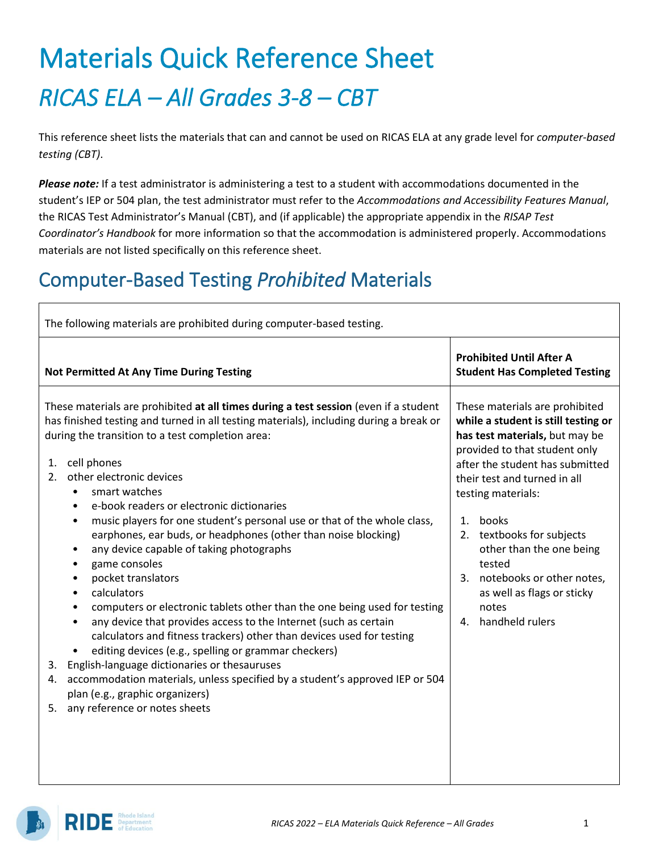# Materials Quick Reference Sheet *RICAS ELA – All Grades 3-8 – CBT*

This reference sheet lists the materials that can and cannot be used on RICAS ELA at any grade level for *computer-based testing (CBT)*.

*Please note:* If a test administrator is administering a test to a student with accommodations documented in the student's IEP or 504 plan, the test administrator must refer to the *Accommodations and Accessibility Features Manual*, the RICAS Test Administrator's Manual (CBT), and (if applicable) the appropriate appendix in the *RISAP Test Coordinator's Handbook* for more information so that the accommodation is administered properly. Accommodations materials are not listed specifically on this reference sheet.

### Computer-Based Testing *Prohibited* Materials

| The following materials are prohibited during computer-based testing.                                                                                                                                                                                                                                                                                                                                                                                                                                                                                                                                                                                                                                                                                                                                                                                                                                                                                                                                                                                                                                                                                                                                |                                                                                                                                                                                                                                                                                                                                                                                                                     |  |  |  |  |
|------------------------------------------------------------------------------------------------------------------------------------------------------------------------------------------------------------------------------------------------------------------------------------------------------------------------------------------------------------------------------------------------------------------------------------------------------------------------------------------------------------------------------------------------------------------------------------------------------------------------------------------------------------------------------------------------------------------------------------------------------------------------------------------------------------------------------------------------------------------------------------------------------------------------------------------------------------------------------------------------------------------------------------------------------------------------------------------------------------------------------------------------------------------------------------------------------|---------------------------------------------------------------------------------------------------------------------------------------------------------------------------------------------------------------------------------------------------------------------------------------------------------------------------------------------------------------------------------------------------------------------|--|--|--|--|
| <b>Not Permitted At Any Time During Testing</b>                                                                                                                                                                                                                                                                                                                                                                                                                                                                                                                                                                                                                                                                                                                                                                                                                                                                                                                                                                                                                                                                                                                                                      | <b>Prohibited Until After A</b><br><b>Student Has Completed Testing</b>                                                                                                                                                                                                                                                                                                                                             |  |  |  |  |
| These materials are prohibited at all times during a test session (even if a student<br>has finished testing and turned in all testing materials), including during a break or<br>during the transition to a test completion area:<br>cell phones<br>1.<br>other electronic devices<br>2.<br>smart watches<br>$\bullet$<br>e-book readers or electronic dictionaries<br>$\bullet$<br>music players for one student's personal use or that of the whole class,<br>٠<br>earphones, ear buds, or headphones (other than noise blocking)<br>any device capable of taking photographs<br>٠<br>game consoles<br>٠<br>pocket translators<br>$\bullet$<br>calculators<br>computers or electronic tablets other than the one being used for testing<br>$\bullet$<br>any device that provides access to the Internet (such as certain<br>$\bullet$<br>calculators and fitness trackers) other than devices used for testing<br>editing devices (e.g., spelling or grammar checkers)<br>٠<br>English-language dictionaries or thesauruses<br>3.<br>accommodation materials, unless specified by a student's approved IEP or 504<br>4.<br>plan (e.g., graphic organizers)<br>any reference or notes sheets<br>5. | These materials are prohibited<br>while a student is still testing or<br>has test materials, but may be<br>provided to that student only<br>after the student has submitted<br>their test and turned in all<br>testing materials:<br>1.<br>books<br>2. textbooks for subjects<br>other than the one being<br>tested<br>3. notebooks or other notes,<br>as well as flags or sticky<br>notes<br>handheld rulers<br>4. |  |  |  |  |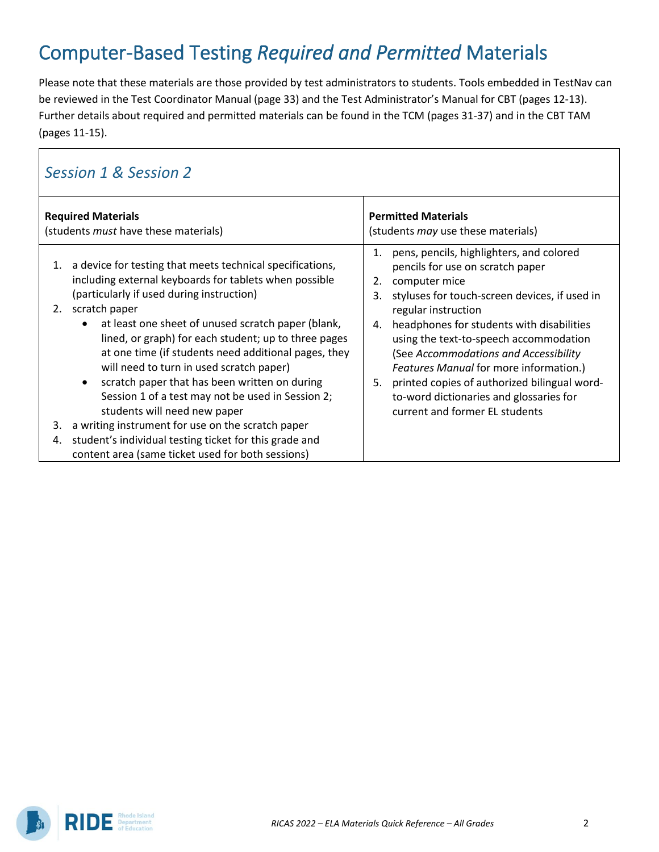## Computer-Based Testing *Required and Permitted* Materials

Please note that these materials are those provided by test administrators to students. Tools embedded in TestNav can be reviewed in the Test Coordinator Manual (page 33) and the Test Administrator's Manual for CBT (pages 12-13). Further details about required and permitted materials can be found in the TCM (pages 31-37) and in the CBT TAM (pages 11-15).

#### *Session 1 & Session 2*

| <b>Required Materials</b><br>(students <i>must</i> have these materials) |                                                                                                                                                                                                                                                                                                                                                                                                                                                                                                                                                                                                                                                                                                                                         | <b>Permitted Materials</b><br>(students <i>may</i> use these materials) |                                                                                                                                                                                                                                                                                                                                                                                                                                                                                     |
|--------------------------------------------------------------------------|-----------------------------------------------------------------------------------------------------------------------------------------------------------------------------------------------------------------------------------------------------------------------------------------------------------------------------------------------------------------------------------------------------------------------------------------------------------------------------------------------------------------------------------------------------------------------------------------------------------------------------------------------------------------------------------------------------------------------------------------|-------------------------------------------------------------------------|-------------------------------------------------------------------------------------------------------------------------------------------------------------------------------------------------------------------------------------------------------------------------------------------------------------------------------------------------------------------------------------------------------------------------------------------------------------------------------------|
| 1.<br>2.<br>3.<br>4.                                                     | a device for testing that meets technical specifications,<br>including external keyboards for tablets when possible<br>(particularly if used during instruction)<br>scratch paper<br>at least one sheet of unused scratch paper (blank,<br>$\bullet$<br>lined, or graph) for each student; up to three pages<br>at one time (if students need additional pages, they<br>will need to turn in used scratch paper)<br>scratch paper that has been written on during<br>$\bullet$<br>Session 1 of a test may not be used in Session 2;<br>students will need new paper<br>a writing instrument for use on the scratch paper<br>student's individual testing ticket for this grade and<br>content area (same ticket used for both sessions) | 1.<br>2.<br>3.<br>4.<br>5.                                              | pens, pencils, highlighters, and colored<br>pencils for use on scratch paper<br>computer mice<br>styluses for touch-screen devices, if used in<br>regular instruction<br>headphones for students with disabilities<br>using the text-to-speech accommodation<br>(See Accommodations and Accessibility<br><b>Features Manual for more information.)</b><br>printed copies of authorized bilingual word-<br>to-word dictionaries and glossaries for<br>current and former EL students |

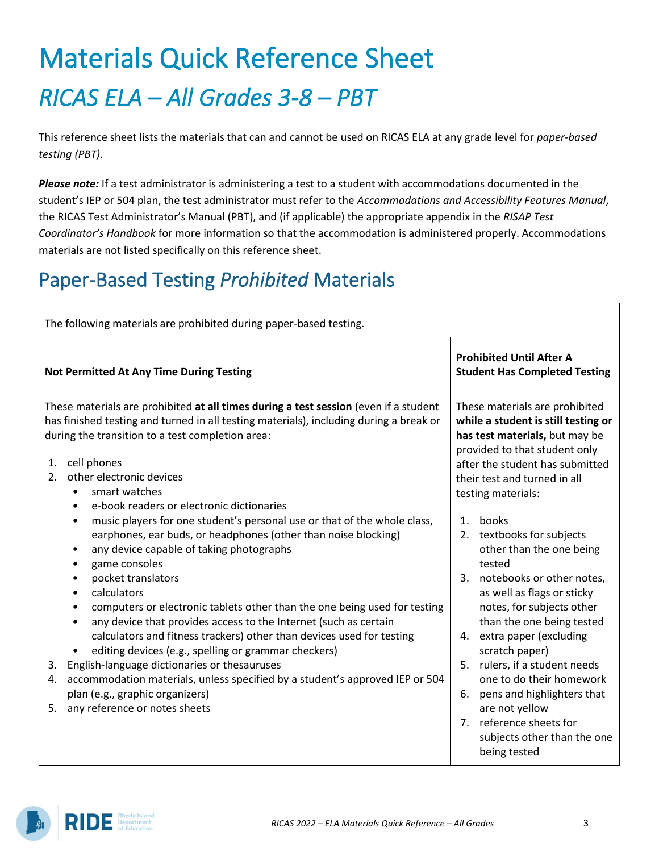# Materials Quick Reference Sheet *RICAS ELA – All Grades 3-8 – PBT*

This reference sheet lists the materials that can and cannot be used on RICAS ELA at any grade level for *paper-based testing (PBT)*.

*Please note:* If a test administrator is administering a test to a student with accommodations documented in the student's IEP or 504 plan, the test administrator must refer to the *Accommodations and Accessibility Features Manual*, the RICAS Test Administrator's Manual (PBT), and (if applicable) the appropriate appendix in the *RISAP Test Coordinator's Handbook* for more information so that the accommodation is administered properly. Accommodations materials are not listed specifically on this reference sheet.

### Paper-Based Testing *Prohibited* Materials

| The following materials are prohibited during paper-based testing.                                                                                                                                                                                                                                                                                                                                                                                                                                                                                                                                                                                                                                                                                                                                                                                                                                                                                                                                                                                                                                                                                                                                                     |                                                                                                                                                                                                                                                                                                                                                                                                                                                                                                                                                                                                                                                                                                     |  |  |  |  |
|------------------------------------------------------------------------------------------------------------------------------------------------------------------------------------------------------------------------------------------------------------------------------------------------------------------------------------------------------------------------------------------------------------------------------------------------------------------------------------------------------------------------------------------------------------------------------------------------------------------------------------------------------------------------------------------------------------------------------------------------------------------------------------------------------------------------------------------------------------------------------------------------------------------------------------------------------------------------------------------------------------------------------------------------------------------------------------------------------------------------------------------------------------------------------------------------------------------------|-----------------------------------------------------------------------------------------------------------------------------------------------------------------------------------------------------------------------------------------------------------------------------------------------------------------------------------------------------------------------------------------------------------------------------------------------------------------------------------------------------------------------------------------------------------------------------------------------------------------------------------------------------------------------------------------------------|--|--|--|--|
| <b>Not Permitted At Any Time During Testing</b>                                                                                                                                                                                                                                                                                                                                                                                                                                                                                                                                                                                                                                                                                                                                                                                                                                                                                                                                                                                                                                                                                                                                                                        | <b>Prohibited Until After A</b><br><b>Student Has Completed Testing</b>                                                                                                                                                                                                                                                                                                                                                                                                                                                                                                                                                                                                                             |  |  |  |  |
| These materials are prohibited at all times during a test session (even if a student<br>has finished testing and turned in all testing materials), including during a break or<br>during the transition to a test completion area:<br>cell phones<br>1.<br>other electronic devices<br>2.<br>smart watches<br>$\bullet$<br>e-book readers or electronic dictionaries<br>$\bullet$<br>music players for one student's personal use or that of the whole class,<br>٠<br>earphones, ear buds, or headphones (other than noise blocking)<br>any device capable of taking photographs<br>$\bullet$<br>game consoles<br>٠<br>pocket translators<br>$\bullet$<br>calculators<br>$\bullet$<br>computers or electronic tablets other than the one being used for testing<br>٠<br>any device that provides access to the Internet (such as certain<br>$\bullet$<br>calculators and fitness trackers) other than devices used for testing<br>editing devices (e.g., spelling or grammar checkers)<br>$\bullet$<br>English-language dictionaries or thesauruses<br>3.<br>accommodation materials, unless specified by a student's approved IEP or 504<br>4.<br>plan (e.g., graphic organizers)<br>5. any reference or notes sheets | These materials are prohibited<br>while a student is still testing or<br>has test materials, but may be<br>provided to that student only<br>after the student has submitted<br>their test and turned in all<br>testing materials:<br>books<br>$\mathbf{1}$ .<br>2. textbooks for subjects<br>other than the one being<br>tested<br>3. notebooks or other notes,<br>as well as flags or sticky<br>notes, for subjects other<br>than the one being tested<br>4. extra paper (excluding<br>scratch paper)<br>5. rulers, if a student needs<br>one to do their homework<br>pens and highlighters that<br>6.<br>are not yellow<br>7. reference sheets for<br>subjects other than the one<br>being tested |  |  |  |  |